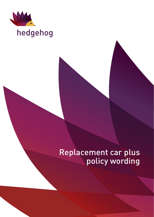

# hedgehog

# Replacement car plus policy wording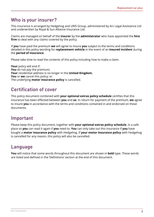# Who is your insurer?

This insurance is arranged by Hedgehog and URIS Group, administered by Arc Legal Assistance Ltd and underwritten by Royal & Sun Alliance Insurance Ltd.

Claims are managed on behalf of the **insurer** by the **administrator** who have appointed the **hire firm** to deal with any claims covered by the policy.

If **you** have paid the premium **we** will agree to insure **you** subject to the terms and conditions detailed in this policy wording for **replacement vehicle** in the event of an **insured incident** during the **period of insurance**.

Please take time to read the contents of this policy including how to make a claim.

**Your** policy will end if: **You** do not pay the premium; **Your** residential address is no longer in the **United Kingdom**; **You** or **we** cancel this policy; or The underlying **motor insurance policy** is cancelled.

# Certification of cover

This policy document combined with **your optional extras policy schedule** certifies that this insurance has been effected between **you** and **us**. In return for payment of the premium, **we** agree to insure **you** in accordance with the terms and conditions contained in and endorsed on these documents.

# Important

Please keep this policy document, together with **your optional extras policy schedule**, in a safe place so **you** can read it again if **you** need to. **You** can only take out this insurance if **you** have bought a **motor insurance policy** with Hedgehog. If **your motor insurance policy** with Hedgehog is cancelled for any reason, this policy will also be cancelled.

# Language

**You** will notice that some words throughout this document are shown in **bold** type. These words are listed and defined in the 'Definitions' section at the end of this document.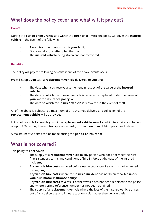# What does the policy cover and what will it pay out?

#### **Events**

During the **period of insurance** and within the **territorial limits**, the policy will cover the **insured vehicle** in the event of the following:

- A road traffic accident which is **your** fault;
- Fire, vandalism, or attempted theft; or
- The **insured vehicle** being stolen and not recovered.

### **Benefits**

The policy will pay the following benefits if one of the above events occur:

**We** will supply **you** with a **replacement vehicle** delivered to **you** until:

- The date when **you** receive a settlement in respect of the value of the **insured vehicle**;
- The date on which the **insured vehicle** is repaired or replaced under the terms of **your motor insurance policy**; or
- The date on which the **insured vehicle** is recovered in the event of theft.

All of the above is subject to a maximum of 21 days. Free delivery and collection of the **replacement vehicle** will be provided.

If it is not possible to provide **you** with a **replacement vehicle we** will contribute a daily cash benefit of up to £20 per day towards transportation costs, up to a maximum of £420 per individual claim.

A maximum of 2 claims can be made during the **period of insurance**.

# What is not covered?

This policy will not cover:

- The supply of a **replacement vehicle** to any person who does not meet the **hire firm**'s standard terms and conditions of hire in force at the date of the **insured incident**;
- Any **vehicle hire costs** incurred before **our** acceptance of a claim or not arranged through **us**;
- Any **vehicle hire costs** where the **insured incident** has not been reported under **your** own **motor insurance policy**;
- Any **vehicle hire costs** as a result of theft which has not been reported to the police and where a crime reference number has not been obtained;
- The supply of a **replacement vehicle** where the loss of the **insured vehicle** arises out of any deliberate or criminal act or omission other than vehicle theft;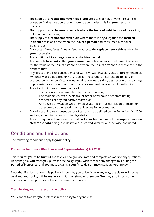- The supply of a **replacement vehicle** if **you** are a taxi driver, private hire vehicle driver, self-drive hire operator or motor trader, unless it is for **your** personal use only;
- The supply of a **replacement vehicle** where the **insured vehicle** is used for racing, rallies or competitions;
- The supply of a **replacement vehicle** where there is any allegation the **insured incident** arose at a time when the **insured person** had consumed alcohol or illegal drugs;
- Any costs of fuel, fares, fines or fees relating to the **replacement vehicle** whilst in **your** possession;
- Any additional hire charges due after the **hire period**;
- Any **vehicle hire costs** after **your insured vehicle** is replaced, settlement received for the value of the **insured vehicle** or where the **insured vehicle** is recovered in the event of theft;
- Any direct or indirect consequence of war, civil war, invasion, acts of foreign enemies (whether war be declared or not), rebellion, revolution, insurrection, military or usurped power, or confiscation, nationalisation, requisition, destruction of or damage to property by or under the order of any government, local or public authority.
- Any direct or indirect consequence of:
	- Irradiation, or contamination by nuclear material;
	- The radioactive, toxic, explosive or other hazardous or contaminating properties of any radioactive matter; or
	- Any device or weapon which employs atomic or nuclear fission or fusion or other comparable reaction or radioactive force or matter.
- Any direct or indirect consequence of terrorism as defined by the Terrorism Act 2000 and any amending or substituting legislation;
- Any consequence, howsoever caused, including but not limited to **computer virus** in **electronic data** being lost, destroyed, distorted, altered, or otherwise corrupted;

# Conditions and limitations

The following conditions apply to **your** policy:

# **Consumer Insurance (Disclosure and Representations) Act 2012**

This requires **you** to be truthful and take care to give accurate and complete answers to any questions Hedgehog ask **you** when **you** purchase the policy, if **you** wish to make any changes to it during the **period of insurance**, or if **you** make a claim. If **you** fail to do so it may invalidate **your** policy.

Note that if a claim under this policy is known by **you** to be false in any way, the claim will not be paid and **your** policy will be made void with no refund of premium. **We** may also inform other insurers and the appropriate law enforcement authorities.

# **Transferring your interest in the policy**

**You** cannot transfer **your** interest in the policy to anyone else.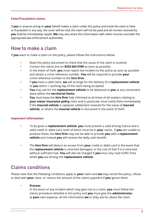# **False/Fraudulent claims**

If **you** or anyone acting on **your** behalf makes a claim under this policy and know the claim is false or fraudulent in any way, the cover will be void, the claim will not be paid and all monies received by **you** shall be immediately repaid. **We** may also share this information with other insurers and with the appropriate law enforcement authorities.

# How to make a claim

If **you** want to make a claim on the policy, please follow the instructions below:

- Read this policy document to check that the cause of the claim is covered;
- Contact the claims line on **0333 043 9769** as soon as possible;
- In the event of theft, **you** must report the incident to the police as soon as possible and obtain a crime reference number. **You** will be required to provide **your** crime reference number to the **hire firm**;
- If **you** have a valid claim, **we** will arrange for the delivery of a **replacement vehicle** to **you** within 1 working day of the claim being accepted;
- **You** may ask for the **replacement vehicle** to be delivered to **you** at any convenient place within the **territorial limits**;
- **You** must keep the **hire firm** fully informed at all times of all matters relating to **your motor insurance policy** claim and in particular must notify them immediately if the **insured vehicle** is replaced, settlement received for the value of **insured vehicle**, or where the **insured vehicle** is recovered in the event of theft.

### **Important Information**

- To be given a **replacement vehicle**, **you** must present a valid driving licence and a valid credit or debit card, both of which must be in **your** name. If **you** are unable to produce these, the **hire firm** may not be able to provide **you** with a **replacement vehicle** and instead **you** will receive the daily cash benefit.
- The **hire firm** will deduct an excess from **your** credit or debit card in the event that the **replacement vehicle** is returned damaged, or the cost of fuel if it is returned without sufficient fuel. **You** will also be charged if **you** incur any road traffic fines whilst **you** are driving the **replacement vehicle**.

# Claims conditions

Please note that the following conditions apply to **your** claim and **we** may cancel the policy, refuse to deal with **your** claim, or reduce the amount of the claims payment if **you** ignore them:

#### • **Process**

In the event of any incident which may give rise to a claim, **you** must follow the claims procedure detailed in this policy and **you** must give the **administrator**, at **your** own expense, all the information **we** or they ask for about the claim.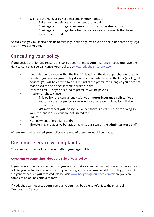- **We** have the right, at **our** expense and in **your** name, to:
	- Take over the defence or settlement of any claim;
	- Start legal action to get compensation from anyone else; and/or
	- Start legal action to get back from anyone else any payments that have already been made.

At **our** cost, **you** must also help **us** to take legal action against anyone or help **us** defend any legal action if **we** ask **you** to.

# Cancelling your policy

If **you** decide that for any reason, this policy does not meet **your** insurance needs **you** have the right to cancel it. **You** can cancel **your** policy at [www.hedgehoginsurance.com.](www.hedgehoginsurance.com)

- If **you** decide to cancel within the first 14 days from the day of purchase or the day on which **you** receive **your** policy documentation, whichever is the later ('cooling off period'), **you** will be entitled to a full refund of the premium as long as **you** have not made a claim and do not intend to make a claim.
- After the first 14 days no refund of premium will be payable.
- **Insurer's** right to cancel
	- This policy runs concurrently with **your motor insurance policy**. If **your motor insurance policy** is cancelled for any reason this policy will also be cancelled.
	- We may cancel your policy, but only if there is a valid reason for doing so. Valid reasons include (but are not limited to):
- Fraud;
- Non-payment of premium; and/or
- Threatening and abusive behaviour against **our** staff or the **administrator**'s staff.

Where **we** have cancelled **your** policy no refund of premium would be made.

# Customer service & complaints

This complaints procedure does not affect **your** legal rights.

### **Questions or complaints about the sale of your policy**

If **you** have a question or concern, or **you** wish to make a complaint about how **your** policy was sold to **you** (including the information **you** were given before **you** bought the policy), or about the general service **you** received, please visit<www.hedgehoginsurance.com> where you can complete an online complaint form.

If Hedgehog cannot settle **your** complaint, **you** may be able to refer it to the Financial Ombudsman Service.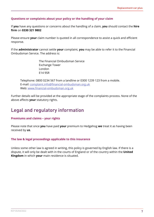### **Questions or complaints about your policy or the handling of your claim**

If **you** have any questions or concerns about the handling of a claim, **you** should contact the **hire firm** on **0330 321 9802**

Please ensure **your** claim number is quoted in all correspondence to assist a quick and efficient response.

If the **administrator** cannot settle **your** complaint, **you** may be able to refer it to the Financial Ombudsman Service. The address is:

> The Financial Ombudsman Service Exchange Tower London E14 9SR

Telephone: 0800 0234 567 from a landline or 0300 1239 123 from a mobile. E-mail: [complaint.info@financial-ombudsman.org.uk](Mailto:complaint.info@financial-ombudsman.org.uk) Web: <www.financial-ombudsman.org.uk>

Further details will be provided at the appropriate stage of the complaints process. None of the above affects **your** statutory rights.

# Legal and regulatory information

### **Premiums and claims – your rights**

Please note that once **you** have paid **your** premium to Hedgehog **we** treat it as having been received by **us**.

#### **The law & legal proceedings applicable to this insurance**

Unless some other law is agreed in writing, this policy is governed by English law. If there is a dispute, it will only be dealt with in the courts of England or of the country within the **United Kingdom** in which **your** main residence is situated.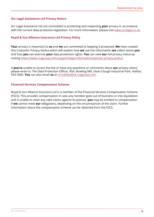# **Arc Legal Assistance Ltd Privacy Notice**

Arc Legal Assistance Ltd are committed to protecting and respecting **your** privacy in accordance with the current data protection legislation. For more information, please visit [www.arclegal.co.uk](http://www.arclegal.co.uk).

### **Royal & Sun Alliance Insurance Ltd Privacy Policy**

**Your** privacy is important to **us** and **we** are committed to keeping it protected. **We** have created this Customer Privacy Notice which will explain how **we** use the information **we** collect about **you** and how **you** can exercise **your** data protection rights. **You** can view **our** full privacy notice by visiting<https://www.rsagroup.com/support/legal-information/partner-privacy-policy/>

If **you're** unable to access the link or have any questions or comments about **our** privacy notice, please write to: The Data Protection Officer, RSA, Bowling Mill, Dean Clough Industrial Park, Halifax, HX3 5WA. **You** can also email **us** at crt.halifax@uk.rsagroup.com.

### **Financial Services Compensation Scheme**

Royal & Sun Alliance Insurance Ltd is a member of the Financial Services Compensation Scheme (FSCS). This provides compensation in case any member goes out of business or into liquidation and is unable to meet any valid claims against its policies. **you** may be entitled to compensation if **we** cannot meet **our** obligations, depending on the circumstances of the claim. Further information about the compensation scheme can be obtained from the FSCS.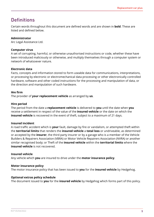# **Definitions**

Certain words throughout this document are defined words and are shown in **bold**. These are listed and defined below.

# **Administrator**

Arc Legal Assistance Ltd.

# **Computer virus**

A set of corrupting, harmful, or otherwise unauthorised instructions or code, whether these have been introduced maliciously or otherwise, and multiply themselves through a computer system or network of whatsoever nature.

### **Electronic data**

Facts, concepts and information stored to form useable data for communications, interpretations, or processing by electronic or electromechanical data processing or other electronically controlled hardware, software and other coded instructions for the processing and manipulation of data, or the direction and manipulation of such hardware.

# **Hre firm**

The provider of **your replacement vehicle** as arranged by **us**.

# **Hire period**

The period from the date a **replacement vehicle** is delivered to **you** until the date when **you** receive a settlement in respect of the value of the **insured vehicle** or the date on which the **insured vehicle** is recovered in the event of theft, subject to a maximum of 21 days.

# **Insured incident**

A road traffic accident which is **your** fault, damage by fire or vandalism, or attempted theft within the **territorial limits** that renders the **insured vehicle** a **total loss** or undriveable, as determined or accepted by the **insurer**, the third party insurer or by a garage who is a member of the Vehicle Builders & Repairers Association (VBRA) or Motor Vehicle Repairers Association (NVRA) or another similar recognised body; or Theft of the **insured vehicle** within the **territorial limits** where the **insured vehicle** is not recovered.

### **Insured vehicle**

Any vehicle which **you** are insured to drive under the **motor insurance policy**.

### **Motor insurance policy**

The motor insurance policy that has been issued to **you** for the **insured vehicle** by Hedgehog.

### **Optional extras policy schedule**

The document issued to **you** for the **insured vehicle** by Hedgehog which forms part of this policy.